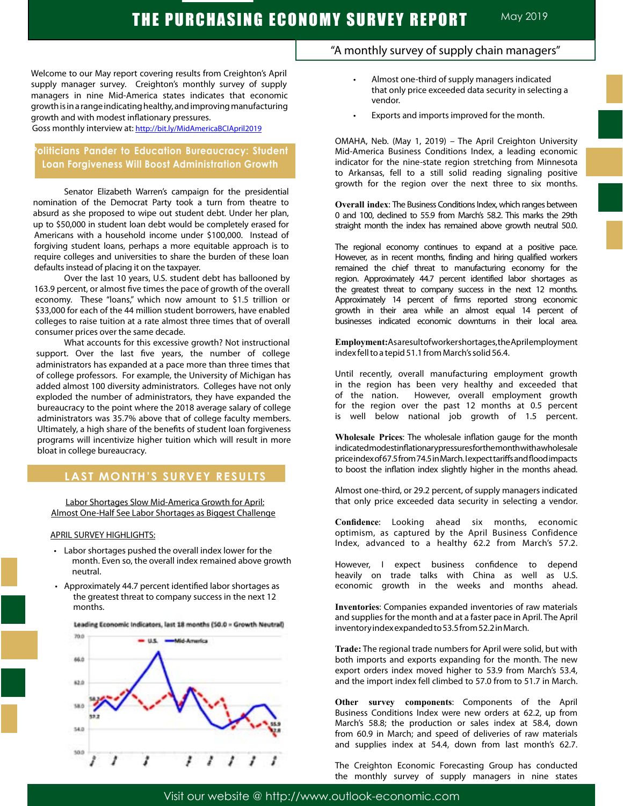Welcome to our May report covering results from Creighton's April supply manager survey. Creighton's monthly survey of supply managers in nine Mid-America states indicates that economic growth is in a range indicating healthy, and improving manufacturing growth and with modest inflationary pressures.

Goss monthly interview at:<http://bit.ly/MidAmericaBCIApril2019>

# **Politicians Pander to Education Bureaucracy: Student Loan Forgiveness Will Boost Administration Growth**

Senator Elizabeth Warren's campaign for the presidential nomination of the Democrat Party took a turn from theatre to absurd as she proposed to wipe out student debt. Under her plan, up to \$50,000 in student loan debt would be completely erased for Americans with a household income under \$100,000. Instead of forgiving student loans, perhaps a more equitable approach is to require colleges and universities to share the burden of these loan defaults instead of placing it on the taxpayer.

Over the last 10 years, U.S. student debt has ballooned by 163.9 percent, or almost five times the pace of growth of the overall economy. These "loans," which now amount to \$1.5 trillion or \$33,000 for each of the 44 million student borrowers, have enabled colleges to raise tuition at a rate almost three times that of overall consumer prices over the same decade.

What accounts for this excessive growth? Not instructional support. Over the last five years, the number of college administrators has expanded at a pace more than three times that of college professors. For example, the University of Michigan has added almost 100 diversity administrators. Colleges have not only exploded the number of administrators, they have expanded the bureaucracy to the point where the 2018 average salary of college administrators was 35.7% above that of college faculty members. Ultimately, a high share of the benefits of student loan forgiveness programs will incentivize higher tuition which will result in more bloat in college bureaucracy.

## **LAST MONTH'S SURVEY RESULTS**

Labor Shortages Slow Mid-America Growth for April: Almost One-Half See Labor Shortages as Biggest Challenge

### APRIL SURVEY HIGHLIGHTS:

- • Labor shortages pushed the overall index lower for the month. Even so, the overall index remained above growth neutral.
- • Approximately 44.7 percent identified labor shortages as the greatest threat to company success in the next 12 months.



# "A monthly survey of supply chain managers"

- Almost one-third of supply managers indicated that only price exceeded data security in selecting a vendor.
- Exports and imports improved for the month.

OMAHA, Neb. (May 1, 2019) – The April Creighton University Mid-America Business Conditions Index, a leading economic indicator for the nine-state region stretching from Minnesota to Arkansas, fell to a still solid reading signaling positive growth for the region over the next three to six months.

**Overall index**: The Business Conditions Index, which ranges between 0 and 100, declined to 55.9 from March's 58.2. This marks the 29th straight month the index has remained above growth neutral 50.0.

The regional economy continues to expand at a positive pace. However, as in recent months, finding and hiring qualified workers remained the chief threat to manufacturing economy for the region. Approximately 44.7 percent identified labor shortages as the greatest threat to company success in the next 12 months. Approximately 14 percent of firms reported strong economic growth in their area while an almost equal 14 percent of businesses indicated economic downturns in their local area.

**Employment:**As a result of worker shortages, the April employment index fell to a tepid 51.1 from March's solid 56.4. .

Until recently, overall manufacturing employment growth in the region has been very healthy and exceeded that of the nation. However, overall employment growth for the region over the past 12 months at 0.5 percent is well below national job growth of 1.5 percent.

**Wholesale Prices**: The wholesale inflation gauge for the month indicated modest inflationary pressures for the month with a wholesale price index of 67.5 from 74.5 in March. I expect tariffs and flood impacts to boost the inflation index slightly higher in the months ahead.

Almost one-third, or 29.2 percent, of supply managers indicated that only price exceeded data security in selecting a vendor.

**Confidence**: Looking ahead six months, economic optimism, as captured by the April Business Confidence Index, advanced to a healthy 62.2 from March's 57.2.

However, I expect business confidence to depend heavily on trade talks with China as well as U.S. economic growth in the weeks and months ahead.

**Inventories**: Companies expanded inventories of raw materials and supplies for the month and at a faster pace in April. The April inventory index expanded to 53.5 from 52.2 in March. .

**Trade:** The regional trade numbers for April were solid, but with both imports and exports expanding for the month. The new export orders index moved higher to 53.9 from March's 53.4, and the import index fell climbed to 57.0 from to 51.7 in March.

**Other survey components**: Components of the April Business Conditions Index were new orders at 62.2, up from March's 58.8; the production or sales index at 58.4, down from 60.9 in March; and speed of deliveries of raw materials and supplies index at 54.4, down from last month's 62.7.

The Creighton Economic Forecasting Group has conducted the monthly survey of supply managers in nine states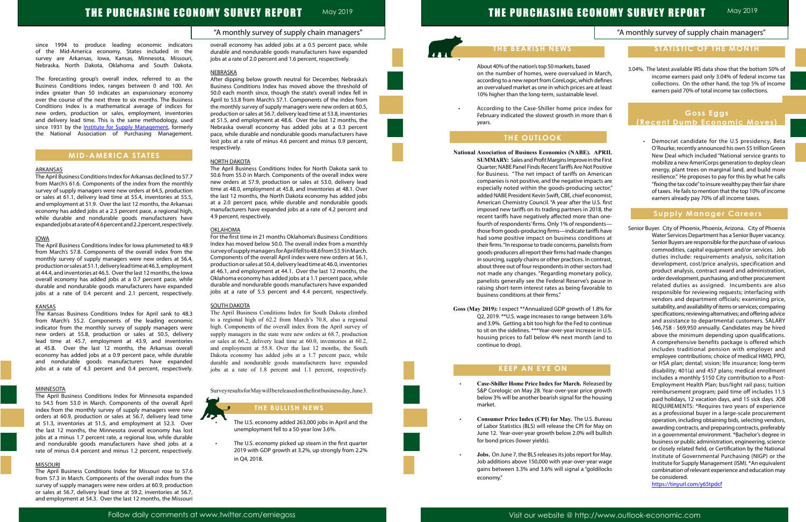# THE PURCHASING ECONOMY SURVEY REPORT

### "A monthly survey of supply chain managers"

May 2019

# "A monthly survey of supply chain managers"

# **Goss Eggs (Recent Dumb Economic Moves)**

# THE PURCHASING ECONOMY SURVEY REPORT MAY 2019

of the Mid-America economy. States included in the survey are Arkansas, Iowa, Kansas, Minnesota, Missouri, Nebraska, North Dakota, Oklahoma and South Dakota.

The forecasting group's overall index, referred to as the Business Conditions Index, ranges between 0 and 100. An index greater than 50 indicates an expansionary economy over the course of the next three to six months. The Business Conditions Index is a mathematical average of indices for new orders, production or sales, employment, inventories and delivery lead time. This is the same methodology, used since 1931 by the **[Institute for Supply Management](https://www.instituteforsupplymanagement.org/index.cfm?SSO=1)**, formerly the National Association of Purchasing Management.

## **MID-AMERICA STATES**

### ARKANSAS

The April Business Conditions Index for Arkansas declined to 57.7 from March's 61.6. Components of the index from the monthly survey of supply managers were new orders at 64.5, production or sales at 61.1, delivery lead time at 55.4, inventories at 55.5, and employment at 51.9. Over the last 12 months, the Arkansas economy has added jobs at a 2.5 percent pace, a regional high, while durable and nondurable goods manufacturers have expanded jobs at a rate of 4.6 percent and 2.2 percent, respectively.

### IOWA

since 1994 to produce leading economic indicators overall economy has added jobs at a 0.5 percent pace, while<br>of the Mid-America economy States included in the durable and pondurable goods manufacturers have expanded **the** durable and nondurable goods manufacturers have expanded jobs at a rate of 2.0 percent and 1.6 percent, respectively.

### **NEBRASKA**

The April Business Conditions Index for Iowa plummeted to 48.9 from March's 57.8. Components of the overall index from the monthly survey of supply managers were new orders at 56.4, production or sales at 51.1, delivery lead time at 46.3, employment at 44.4, and inventories at 46.5. Over the last 12 months, the Iowa overall economy has added jobs at a 0.7 percent pace, while durable and nondurable goods manufacturers have expanded jobs at a rate of 0.4 percent and 2.1 percent, respectively.

### KANSAS

The Kansas Business Conditions Index for April sank to 48.3 from March's 55.2. Components of the leading economic indicator from the monthly survey of supply managers were new orders at 55.8, production or sales at 50.5, delivery lead time at 45.7, employment at 43.9, and inventories at 45.8. Over the last 12 months, the Arkansas overall economy has added jobs at a 0.9 percent pace, while durable and nondurable goods manufacturers have expanded jobs at a rate of 4.3 percent and 0.4 percent, respectively.

### **MINNESOTA**

The April Business Conditions Index for Minnesota expanded to 54.5 from 53.0 in March. Components of the overall April index from the monthly survey of supply managers were new orders at 60.9, production or sales at 56.7, delivery lead time at 51.3, inventories at 51.5, and employment at 52.3. Over the last 12 months, the Minnesota overall economy has lost jobs at a minus 1.7 percent rate, a regional low, while durable and nondurable goods manufacturers have shed jobs at a rate of minus 0.4 percent and minus 1.2 percent, respectively.

### MISSOURI

According to the Case-Shiller home price index for February indicated the slowest growth in more than 6 years.

The April Business Conditions Index for Missouri rose to 57.6 from 57.3 in March. Components of the overall index from the survey of supply managers were new orders at 60.9, production or sales at 56.7, delivery lead time at 59.2, inventories at 56.7, and employment at 54.3. Over the last 12 months, the Missouri After dipping below growth neutral for December, Nebraska's Business Conditions Index has moved above the threshold of 50.0 each month since, though the state's overall index fell in April to 53.8 from March's 57.1. Components of the index from the monthly survey of supply managers were new orders at 60.5, production or sales at 56.7, delivery lead time at 53.8, inventories at 51.5, and employment at 48.6. Over the last 12 months, the Nebraska overall economy has added jobs at a 0.3 percent pace, while durable and nondurable goods manufacturers have lost jobs at a rate of minus 4.6 percent and minus 0.9 percent, respectively.

### NORTH DAKOTA

The April Business Conditions Index for North Dakota sank to 50.6 from 55.0 in March. Components of the overall index were new orders at 57.9, production or sales at 53.0, delivery lead time at 48.0, employment at 45.8, and inventories at 48.1. Over the last 12 months, the North Dakota economy has added jobs at a 2.0 percent pace, while durable and nondurable goods manufacturers have expanded jobs at a rate of 4.2 percent and 4.9 percent, respectively.

### OKLAHOMA

For the first time in 21 months Oklahoma's Business Conditions Index has moved below 50.0. The overall index from a monthly survey of supply managers for April fell to 48.6 from 53.9 in March. Components of the overall April index were new orders at 56.1, production or sales at 50.4, delivery lead time at 46.0, inventories at 46.1, and employment at 44.1. Over the last 12 months, the Oklahoma economy has added jobs at a 1.1 percent pace, while durable and nondurable goods manufacturers have expanded jobs at a rate of 5.5 percent and 4.4 percent, respectively.

### SOUTH DAKOTA

The April Business Conditions Index for South Dakota climbed to a regional high of 62.2 from March's 70.8, also a regional high. Components of the overall index from the April survey of supply managers in the state were new orders at 68.7, production or sales at 66.2, delivery lead time at 60.0, inventories at 60.2, and employment at 55.8. Over the last 12 months, the South Dakota economy has added jobs at a 1.7 percent pace, while durable and nondurable goods manufacturers have expanded jobs at a rate of 1.8 percent and 1.1 percent, respectively.

Survey results for May will be released on the first business day, June 3.

### **THE BULLISH NEWS**

- The U.S. economy added 263,000 jobs in April and the unemployment fell to a 50-year low 3.6%.
- The U.S. economy picked up steam in the first quarter 2019 with GDP growth at 3.2%, up strongly from 2.2% in Q4, 2018.

• 

About 40% of the nation's top 50 markets, based on the number of homes, were overvalued in March, according to a new report from CoreLogic, which defines an overvalued market as one in which prices are at least 10% higher than the long-term, sustainable level.

# **THE OUTLOOK**

### **National Association of Business Economics (NABE). APRIL**

**SUMMARY:** Sales and Profit Margins Improve in the First Quarter; NABE Panel Finds Recent Tariffs Are Not Positive for Business. "The net impact of tariffs on American companies is not positive, and the negative impacts are especially noted within the goods-producing sector," added NABE President Kevin Swift, CBE, chief economist, American Chemistry Council. "A year after the U.S. first imposed new tariffs on its trading partners in 2018, the recent tariffs have negatively affected more than onefourth of respondents' firms. Only 1% of respondents those from goods-producing firms—indicate tariffs have had some positive impact on business conditions at their firms. "In response to trade concerns, panelists from goods-producers all report their firms had made changes in sourcing, supply chains or other practices. In contrast, about three out of four respondents in other sectors had not made any changes. "Regarding monetary policy, panelists generally see the Federal Reserve's pause in raising short-term interest rates as being favorable to business conditions at their firms."

**Goss (May 2019):** I expect \*\*Annualized GDP growth of 1.8% for Q2, 2019. \*\*U.S. wage increases to range between 3.6% and 3.9%. Getting a bit too high for the Fed to continue to sit on the sidelines. \*\*\*Year-over-year increase in U.S. housing prices to fall below 4% next month (and to continue to drop).

# **KEEP AN EYE ON**

- **Case-Shiller Home Price Index for March.** Released by S&P Corelogic on May 28. Year-over-year price growth below 3% will be another bearish signal for the housing market.
- **Consumer Price Index (CPI) for May.** The U.S. Bureau of Labor Statistics (BLS) will release the CPI for May on June 12. Year-over-year growth below 2.0% will bullish for bond prices (lower yields).
- **Jobs.** On June 7, the BLS releases its jobs report for May. Job additions above 150,000 with year-over-year wage gains between 3.3% and 3.6% will signal a "goldilocks economy."

3.04%. The latest available IRS data show that the bottom 50% of income earners paid only 3.04% of federal income tax collections. On the other hand, the top 5% of income earners paid 70% of total income tax collections.

**Recent Dumb Economic Moves)**

 • Democrat candidate for the U.S presidency, Beta O'Rourke, recently announced his own \$5 trillion Green New Deal which included "National service grants to mobilize a new AmeriCorps generation to deploy clean energy, plant trees on marginal land, and build more resilience." He proposes to pay for this by what he calls "fixing the tax code" to insure wealthy pay their fair share of taxes. He fails to mention that the top 10% of income earners already pay 70% of all income taxes.

## **Supply Manager Careers**

Senior Buyer. City of Phoenix, Phoenix, Arizona. City of Phoenix Water Services Department has a Senior Buyer vacancy. Senior Buyers are responsible for the purchase of various commodities, capital equipment and/or services. Job duties include: requirements analysis, solicitation development, cost/price analysis, specification and product analysis, contract award and administration, order development, purchasing, and other procurement related duties as assigned. Incumbents are also responsible for reviewing requests; interfacing with vendors and department officials; examining price, suitability, and availability of items or services; comparing specifications; reviewing alternatives; and offering advice and assistance to departmental customers. SALARY \$46,758 - \$69,950 annually. Candidates may be hired above the minimum depending upon qualifications. A comprehensive benefits package is offered which includes traditional pension with employer and employee contributions; choice of medical HMO, PPO, or HSA plan; dental; vision; life insurance; long-term disability; 401(a) and 457 plans; medical enrollment includes a monthly \$150 City contribution to a Post-Employment Health Plan; bus/light rail pass; tuition reimbursement program; paid time off includes 11.5 paid holidays, 12 vacation days, and 15 sick days. JOB REQUIREMENTS: \*Requires two years of experience as a professional buyer in a large-scale procurement operation, including obtaining bids, selecting vendors, awarding contracts, and preparing contracts, preferably in a governmental environment. \*Bachelor's degree in business or public administration, engineering, science or closely related field, or Certification by the National Institute of Governmental Purchasing (NIGP) or the Institute for Supply Management (ISM). \*An equivalent combination of relevant experience and education may be considered.

<https://tinyurl.com/y65tpdcf>